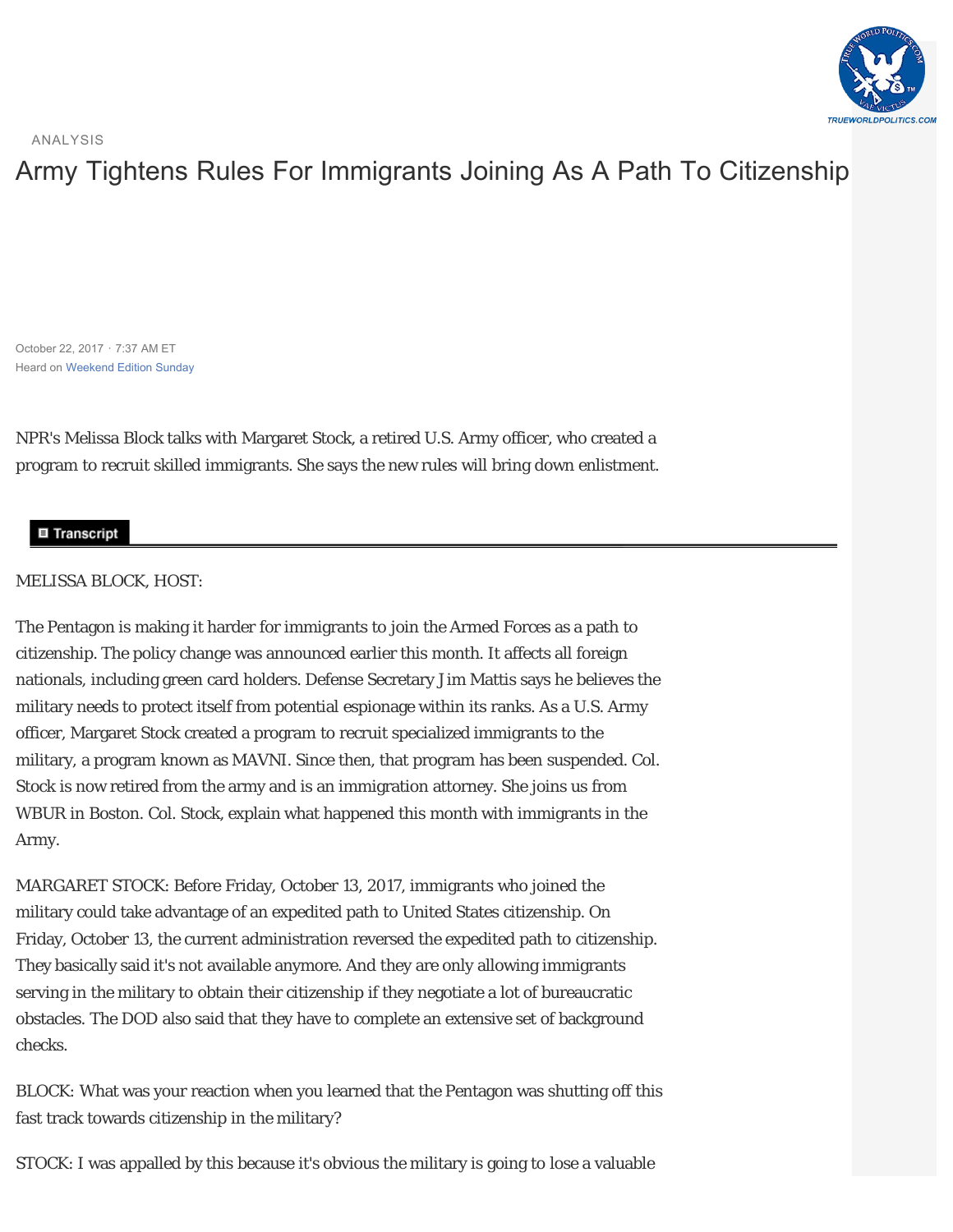

ANALYSIS

## [Army Tightens Rules For Immigrants Joining As A Path To Citizenship](https://www.npr.org/2017/10/22/559336282/army-tightens-rules-for-immigrants-joining-as-a-path-to-citizenship)

October 22, 2017 · 7:37 AM ET Heard on [Weekend Edition Sunday](https://www.npr.org/programs/weekend-edition-sunday/2017/10/22/559327197/weekend-edition-sunday-for-october-22-2017)

NPR's Melissa Block talks with Margaret Stock, a retired U.S. Army officer, who created a program to recruit skilled immigrants. She says the new rules will bring down enlistment.

## **■ Transcript**

## MELISSA BLOCK, HOST:

The Pentagon is making it harder for immigrants to join the Armed Forces as a path to citizenship. The policy change was announced earlier this month. It affects all foreign nationals, including green card holders. Defense Secretary Jim Mattis says he believes the military needs to protect itself from potential espionage within its ranks. As a U.S. Army officer, Margaret Stock created a program to recruit specialized immigrants to the military, a program known as MAVNI. Since then, that program has been suspended. Col. Stock is now retired from the army and is an immigration attorney. She joins us from WBUR in Boston. Col. Stock, explain what happened this month with immigrants in the Army.

MARGARET STOCK: Before Friday, October 13, 2017, immigrants who joined the military could take advantage of an expedited path to United States citizenship. On Friday, October 13, the current administration reversed the expedited path to citizenship. They basically said it's not available anymore. And they are only allowing immigrants serving in the military to obtain their citizenship if they negotiate a lot of bureaucratic obstacles. The DOD also said that they have to complete an extensive set of background checks.

BLOCK: What was your reaction when you learned that the Pentagon was shutting off this fast track towards citizenship in the military?

STOCK: I was appalled by this because it's obvious the military is going to lose a valuable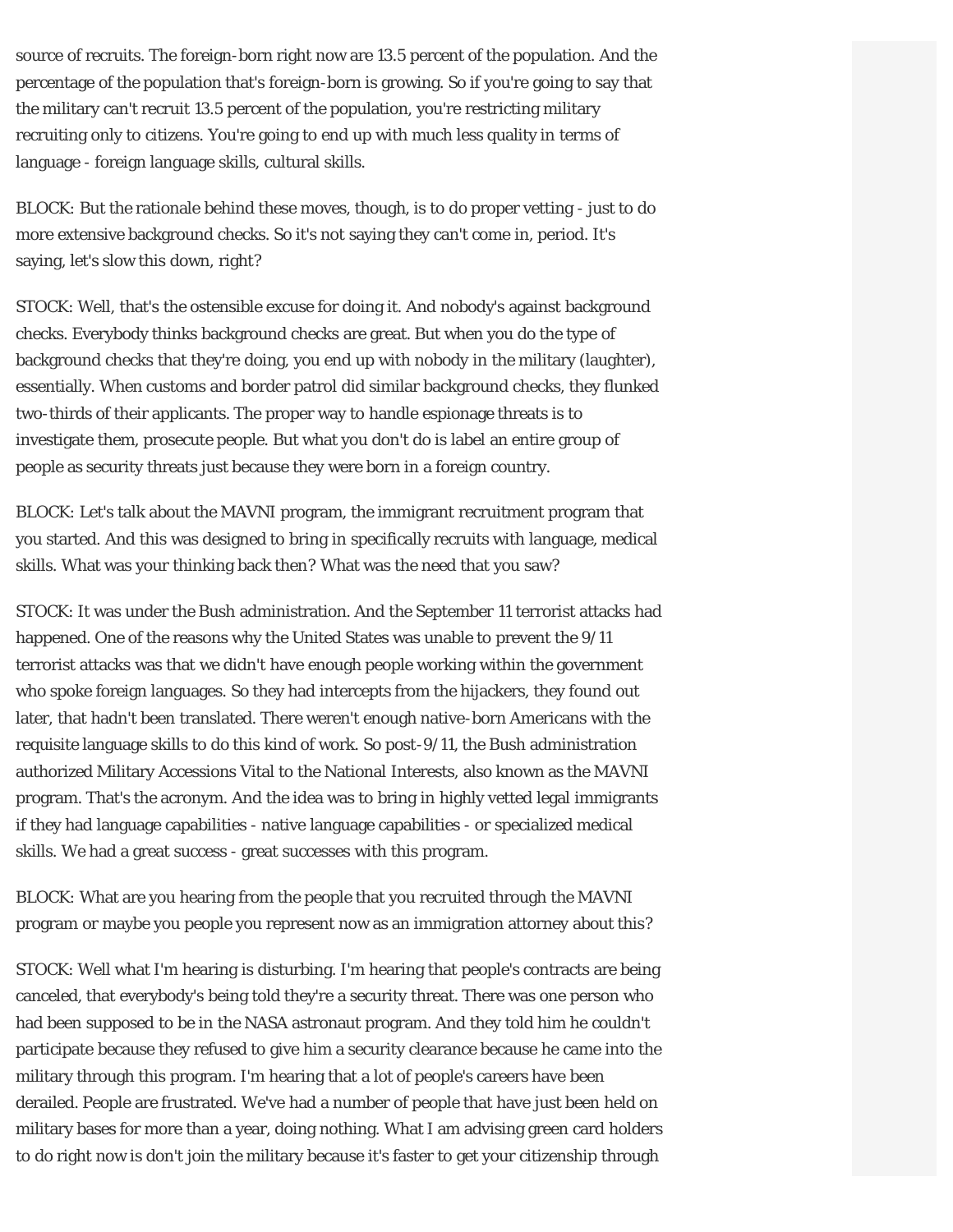source of recruits. The foreign-born right now are 13.5 percent of the population. And the percentage of the population that's foreign-born is growing. So if you're going to say that the military can't recruit 13.5 percent of the population, you're restricting military recruiting only to citizens. You're going to end up with much less quality in terms of language - foreign language skills, cultural skills.

BLOCK: But the rationale behind these moves, though, is to do proper vetting - just to do more extensive background checks. So it's not saying they can't come in, period. It's saying, let's slow this down, right?

STOCK: Well, that's the ostensible excuse for doing it. And nobody's against background checks. Everybody thinks background checks are great. But when you do the type of background checks that they're doing, you end up with nobody in the military (laughter), essentially. When customs and border patrol did similar background checks, they flunked two-thirds of their applicants. The proper way to handle espionage threats is to investigate them, prosecute people. But what you don't do is label an entire group of people as security threats just because they were born in a foreign country.

BLOCK: Let's talk about the MAVNI program, the immigrant recruitment program that you started. And this was designed to bring in specifically recruits with language, medical skills. What was your thinking back then? What was the need that you saw?

STOCK: It was under the Bush administration. And the September 11 terrorist attacks had happened. One of the reasons why the United States was unable to prevent the 9/11 terrorist attacks was that we didn't have enough people working within the government who spoke foreign languages. So they had intercepts from the hijackers, they found out later, that hadn't been translated. There weren't enough native-born Americans with the requisite language skills to do this kind of work. So post-9/11, the Bush administration authorized Military Accessions Vital to the National Interests, also known as the MAVNI program. That's the acronym. And the idea was to bring in highly vetted legal immigrants if they had language capabilities - native language capabilities - or specialized medical skills. We had a great success - great successes with this program.

BLOCK: What are you hearing from the people that you recruited through the MAVNI program or maybe you people you represent now as an immigration attorney about this?

STOCK: Well what I'm hearing is disturbing. I'm hearing that people's contracts are being canceled, that everybody's being told they're a security threat. There was one person who had been supposed to be in the NASA astronaut program. And they told him he couldn't participate because they refused to give him a security clearance because he came into the military through this program. I'm hearing that a lot of people's careers have been derailed. People are frustrated. We've had a number of people that have just been held on military bases for more than a year, doing nothing. What I am advising green card holders to do right now is don't join the military because it's faster to get your citizenship through